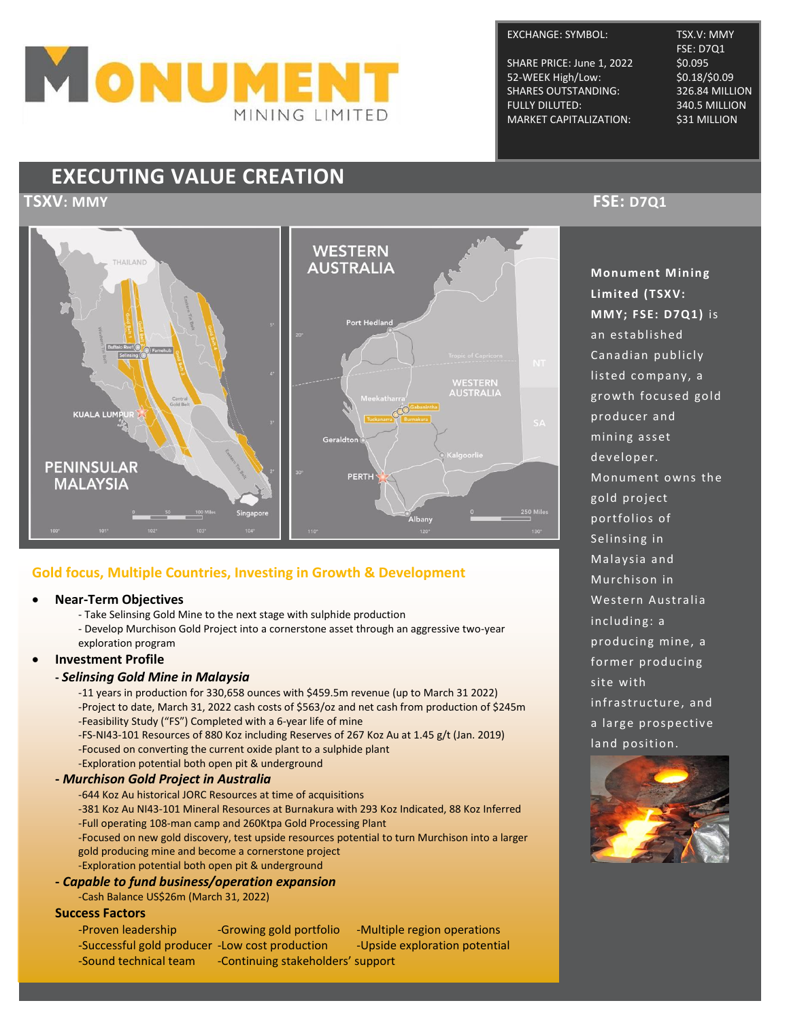

### EXCHANGE: SYMBOL: TSX.V: MMY

SHARE PRICE: June 1, 2022 52-WEEK High/Low: \$0.18/\$0.09 SHARES OUTSTANDING: 326.84 MILLION FULLY DILUTED: 340.5 MILLION MARKET CAPITALIZATION: \$31 MILLION

FSE: D7Q1<br>\$0.095

## **EXECUTING VALUE CREATION**



### **Gold focus, Multiple Countries, Investing in Growth & Development**

- **Near-Term Objectives**
	- Take Selinsing Gold Mine to the next stage with sulphide production
	- Develop Murchison Gold Project into a cornerstone asset through an aggressive two-year exploration program
- **Investment Profile**

### **-** *Selinsing Gold Mine in Malaysia*

-11 years in production for 330,658 ounces with \$459.5m revenue (up to March 31 2022) -Project to date, March 31, 2022 cash costs of \$563/oz and net cash from production of \$245m -Feasibility Study ("FS") Completed with a 6-year life of mine

-FS-NI43-101 Resources of 880 Koz including Reserves of 267 Koz Au at 1.45 g/t (Jan. 2019) -Focused on converting the current oxide plant to a sulphide plant -Exploration potential both open pit & underground

### **-** *Murchison Gold Project in Australia*

-644 Koz Au historical JORC Resources at time of acquisitions

-381 Koz Au NI43-101 Mineral Resources at Burnakura with 293 Koz Indicated, 88 Koz Inferred -Full operating 108-man camp and 260Ktpa Gold Processing Plant

-Focused on new gold discovery, test upside resources potential to turn Murchison into a larger gold producing mine and become a cornerstone project

-Exploration potential both open pit & underground

### **-** *Capable to fund business/operation expansion*

-Cash Balance US\$26m (March 31, 2022)

### **Success Factors**

- 
- -Sound technical team Continuing stakeholders' support

-Proven leadership -Growing gold portfolio -Multiple region operations -Successful gold producer -Low cost production - -Upside exploration potential

### **TSXV: MMY FSE: D7Q1**

**Monument Mining Limited (TSXV: MMY; FSE: D7Q1)** is an established Canadian publicly listed company, a growth focus ed gold produ cer and mining asset dev eloper. Monument owns the gold project portfolios of Selinsing in Malaysia and Murchison in Western Australia including: a producing mine, a former producing site with infrastructure, and a large prospective land position.